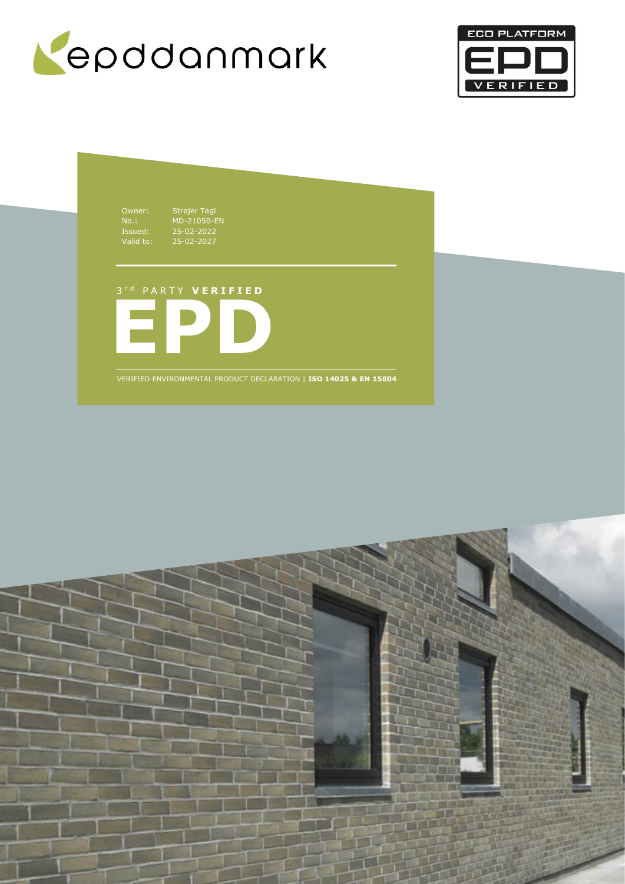



Owner: Strøjer Tegl No.: MD-21050-EN Issued: 25-02-2022 Valid to: 25-02-2027

# 3 r d P A R T Y **V E R I F I E D**



VERIFIED ENVIRONMENTAL PRODUCT DECLARATION | **ISO 14025 & EN 15804**

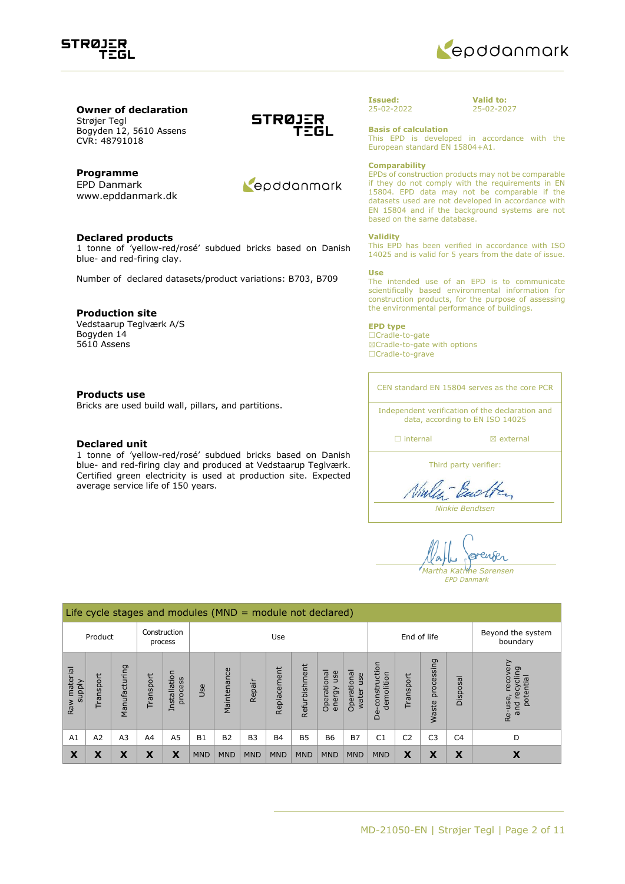



### **Owner of declaration** Strøjer Tegl Bogyden 12, 5610 Assens

CVR: 48791018

## **Programme**

EPD Danmark www.epddanmark.dk

### **Declared products**

1 tonne of 'yellow-red/rosé' subdued bricks based on Danish blue- and red-firing clay.

Number of declared datasets/product variations: B703, B709

### **Production site**

Vedstaarup Teglværk A/S Bogyden 14 5610 Assens

### **Products use**

Bricks are used build wall, pillars, and partitions.

#### **Declared unit**

1 tonne of 'yellow-red/rosé' subdued bricks based on Danish blue- and red-firing clay and produced at Vedstaarup Teglværk. Certified green electricity is used at production site. Expected average service life of 150 years.





#### **Issued:** 25-02-2022

**Valid to:** 25-02-2027

**Basis of calculation**

This EPD is developed in accordance with the European standard EN 15804+A1.

#### **Comparability**

EPDs of construction products may not be comparable if they do not comply with the requirements in EN 15804. EPD data may not be comparable if the datasets used are not developed in accordance with EN 15804 and if the background systems are not based on the same database.

#### **Validity**

This EPD has been verified in accordance with ISO 14025 and is valid for 5 years from the date of issue.

#### **Use**

The intended use of an EPD is to communicate scientifically based environmental information for construction products, for the purpose of assessing the environmental performance of buildings.

### **EPD type**

☐Cradle-to-gate ☒Cradle-to-gate with options ☐Cradle-to-grave

CEN standard EN 15804 serves as the core PCR

Independent verification of the declaration and data, according to EN ISO 14025

□ internal **a** external

Third party verifier:

Nielen Backten

*Ninkie Bendtsen*

renser *Martha Katrine Sørensen EPD Danmark*

|                                  | Life cycle stages and modules ( $MND =$ module not declared) |                |          |                         |            |             |                |             |               |                              |                             |                                  |                |                     |                |                                                      |
|----------------------------------|--------------------------------------------------------------|----------------|----------|-------------------------|------------|-------------|----------------|-------------|---------------|------------------------------|-----------------------------|----------------------------------|----------------|---------------------|----------------|------------------------------------------------------|
|                                  | Product                                                      |                |          | Construction<br>process | Use        |             |                | End of life |               |                              |                             | Beyond the system<br>boundary    |                |                     |                |                                                      |
| material<br><b>Alddns</b><br>Raw | ransport                                                     | Manufacturing  | ransport | Installation<br>process | <b>Jse</b> | Maintenance | Repair         | Replacement | Refurbishment | Operational<br>use<br>energy | Operational<br>use<br>water | construction<br>demolition<br>த் | Transport      | processing<br>Waste | Disposal       | recovery<br>recycling<br>potential<br>Re-use,<br>pue |
| A <sub>1</sub>                   | A <sub>2</sub>                                               | A <sub>3</sub> | A4       | A <sub>5</sub>          | <b>B1</b>  | <b>B2</b>   | B <sub>3</sub> | <b>B4</b>   | <b>B5</b>     | <b>B6</b>                    | <b>B7</b>                   | C <sub>1</sub>                   | C <sub>2</sub> | C <sub>3</sub>      | C <sub>4</sub> | D                                                    |
| X                                | Χ                                                            | Х              | Χ        | Х                       | <b>MND</b> | <b>MND</b>  | <b>MND</b>     | <b>MND</b>  | <b>MND</b>    | <b>MND</b>                   | <b>MND</b>                  | <b>MND</b>                       | X              | X                   | X              | X                                                    |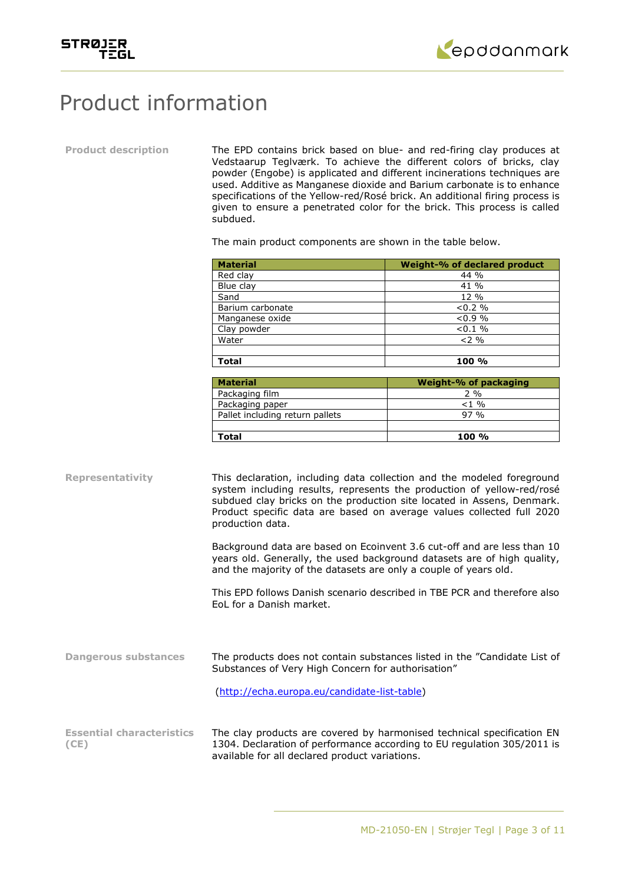



# Product information

**Product description** The EPD contains brick based on blue- and red-firing clay produces at Vedstaarup Teglværk. To achieve the different colors of bricks, clay powder (Engobe) is applicated and different incinerations techniques are used. Additive as Manganese dioxide and Barium carbonate is to enhance specifications of the Yellow-red/Rosé brick. An additional firing process is given to ensure a penetrated color for the brick. This process is called subdued.

The main product components are shown in the table below.

| <b>Material</b>  | Weight-% of declared product |
|------------------|------------------------------|
| Red clay         | 44 %                         |
| Blue clay        | 41 %                         |
| Sand             | $12\%$                       |
| Barium carbonate | $0.2\%$                      |
| Manganese oxide  | $<0.9\%$                     |
| Clay powder      | $< 0.1 \%$                   |
| Water            | $2\%$                        |
|                  |                              |
| Total            | 100 %                        |

| <b>Material</b>                 | Weight-% of packaging |
|---------------------------------|-----------------------|
| Packaging film                  | $2\%$                 |
| Packaging paper                 | $< 1 \%$              |
| Pallet including return pallets | 97 %                  |
|                                 |                       |
| Total                           | $100 \%$              |

| <b>Representativity</b>                  | This declaration, including data collection and the modeled foreground<br>system including results, represents the production of yellow-red/rosé<br>subdued clay bricks on the production site located in Assens, Denmark.<br>Product specific data are based on average values collected full 2020<br>production data. |
|------------------------------------------|-------------------------------------------------------------------------------------------------------------------------------------------------------------------------------------------------------------------------------------------------------------------------------------------------------------------------|
|                                          | Background data are based on Ecoinvent 3.6 cut-off and are less than 10<br>years old. Generally, the used background datasets are of high quality,<br>and the majority of the datasets are only a couple of years old.                                                                                                  |
|                                          | This EPD follows Danish scenario described in TBE PCR and therefore also<br>EoL for a Danish market.                                                                                                                                                                                                                    |
| <b>Dangerous substances</b>              | The products does not contain substances listed in the "Candidate List of<br>Substances of Very High Concern for authorisation"<br>(http://echa.europa.eu/candidate-list-table)                                                                                                                                         |
| <b>Essential characteristics</b><br>(CE) | The clay products are covered by harmonised technical specification EN<br>1304. Declaration of performance according to EU regulation 305/2011 is<br>available for all declared product variations.                                                                                                                     |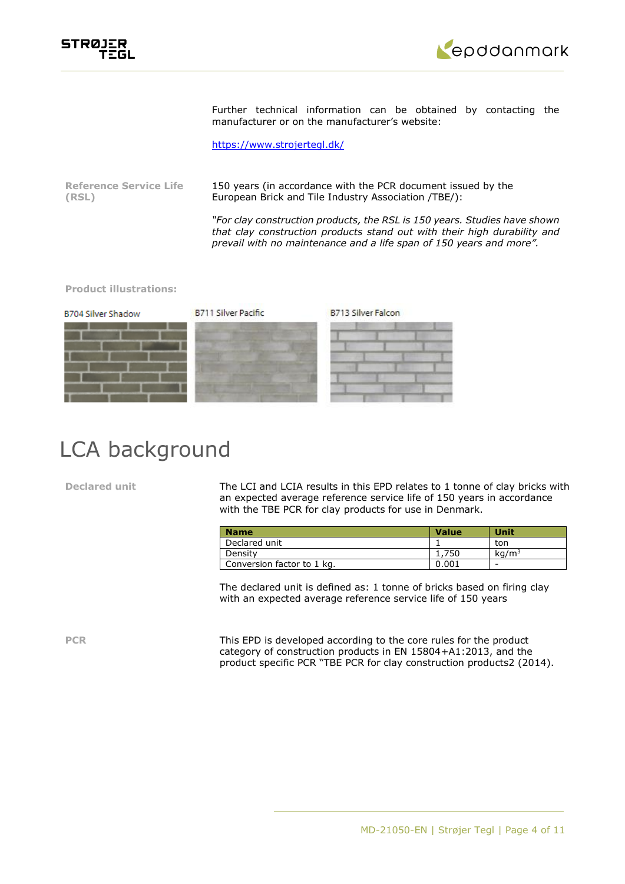



Further technical information can be obtained by contacting the manufacturer or on the manufacturer's website:

<https://www.strojertegl.dk/>

**Reference Service Life (RSL)** 150 years (in accordance with the PCR document issued by the European Brick and Tile Industry Association /TBE/):

> *"For clay construction products, the RSL is 150 years. Studies have shown that clay construction products stand out with their high durability and prevail with no maintenance and a life span of 150 years and more".*

**Product illustrations:**

**B711 Silver Pacific B713 Silver Falcon B704 Silver Shadow** 

# LCA background

**Declared unit** The LCI and LCIA results in this EPD relates to 1 tonne of clay bricks with an expected average reference service life of 150 years in accordance with the TBE PCR for clay products for use in Denmark.

| <b>Name</b>                | <b>Value</b> | Unit              |
|----------------------------|--------------|-------------------|
| Declared unit              |              | ton               |
| Density                    | 75C          | kg/m <sup>3</sup> |
| Conversion factor to 1 kg. | 0.001        | -                 |

The declared unit is defined as: 1 tonne of bricks based on firing clay with an expected average reference service life of 150 years

**PCR** This EPD is developed according to the core rules for the product category of construction products in EN 15804+A1:2013, and the product specific PCR "TBE PCR for clay construction products2 (2014).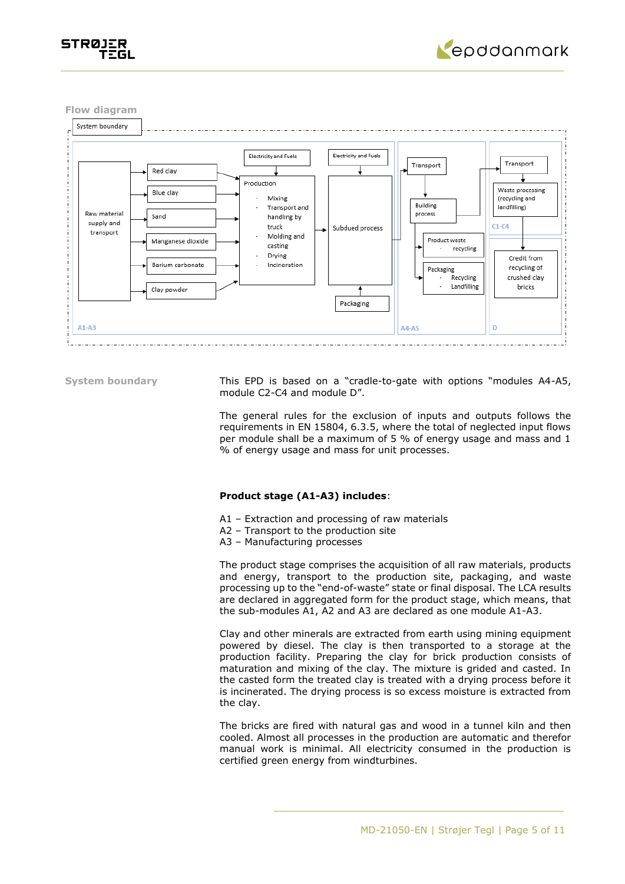



**Flow diagram**



**System boundary** This EPD is based on a "cradle-to-gate with options "modules A4-A5, module C2-C4 and module D".

> The general rules for the exclusion of inputs and outputs follows the requirements in EN 15804, 6.3.5, where the total of neglected input flows per module shall be a maximum of 5 % of energy usage and mass and 1 % of energy usage and mass for unit processes.

### **Product stage (A1-A3) includes**:

- A1 Extraction and processing of raw materials
- A2 Transport to the production site
- A3 Manufacturing processes

The product stage comprises the acquisition of all raw materials, products and energy, transport to the production site, packaging, and waste processing up to the "end-of-waste" state or final disposal. The LCA results are declared in aggregated form for the product stage, which means, that the sub-modules A1, A2 and A3 are declared as one module A1-A3.

Clay and other minerals are extracted from earth using mining equipment powered by diesel. The clay is then transported to a storage at the production facility. Preparing the clay for brick production consists of maturation and mixing of the clay. The mixture is grided and casted. In the casted form the treated clay is treated with a drying process before it is incinerated. The drying process is so excess moisture is extracted from the clay.

The bricks are fired with natural gas and wood in a tunnel kiln and then cooled. Almost all processes in the production are automatic and therefor manual work is minimal. All electricity consumed in the production is certified green energy from windturbines.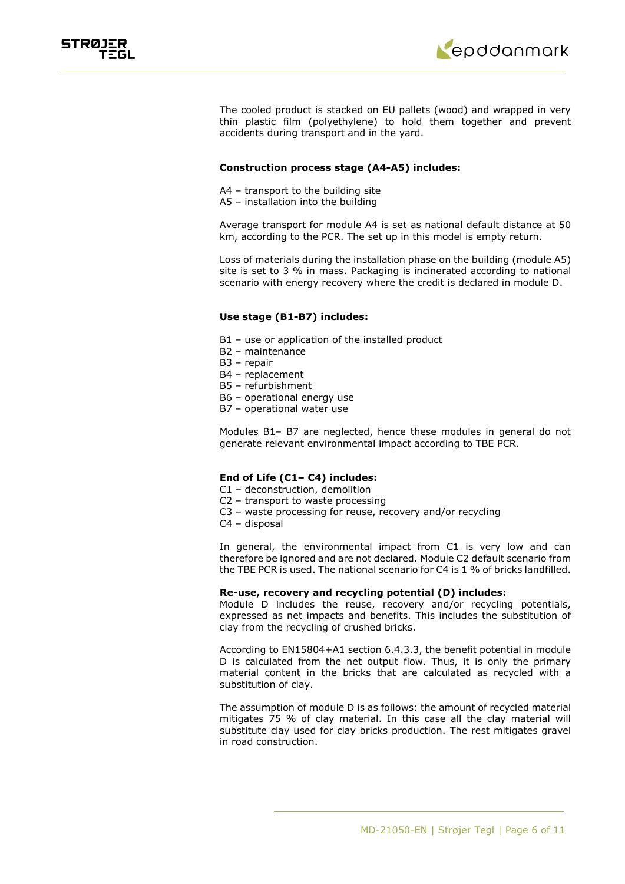



The cooled product is stacked on EU pallets (wood) and wrapped in very thin plastic film (polyethylene) to hold them together and prevent accidents during transport and in the yard.

### **Construction process stage (A4-A5) includes:**

- A4 transport to the building site
- A5 installation into the building

Average transport for module A4 is set as national default distance at 50 km, according to the PCR. The set up in this model is empty return.

Loss of materials during the installation phase on the building (module A5) site is set to 3 % in mass. Packaging is incinerated according to national scenario with energy recovery where the credit is declared in module D.

### **Use stage (B1-B7) includes:**

- B1 use or application of the installed product
- B2 maintenance
- B3 repair
- B4 replacement
- B5 refurbishment
- B6 operational energy use
- B7 operational water use

Modules B1– B7 are neglected, hence these modules in general do not generate relevant environmental impact according to TBE PCR.

### **End of Life (C1– C4) includes:**

- C1 deconstruction, demolition
- C2 transport to waste processing
- C3 waste processing for reuse, recovery and/or recycling
- C4 disposal

In general, the environmental impact from C1 is very low and can therefore be ignored and are not declared. Module C2 default scenario from the TBE PCR is used. The national scenario for C4 is 1 % of bricks landfilled.

## **Re-use, recovery and recycling potential (D) includes:**

Module D includes the reuse, recovery and/or recycling potentials, expressed as net impacts and benefits. This includes the substitution of clay from the recycling of crushed bricks.

According to EN15804+A1 section 6.4.3.3, the benefit potential in module D is calculated from the net output flow. Thus, it is only the primary material content in the bricks that are calculated as recycled with a substitution of clay.

The assumption of module D is as follows: the amount of recycled material mitigates 75 % of clay material. In this case all the clay material will substitute clay used for clay bricks production. The rest mitigates gravel in road construction.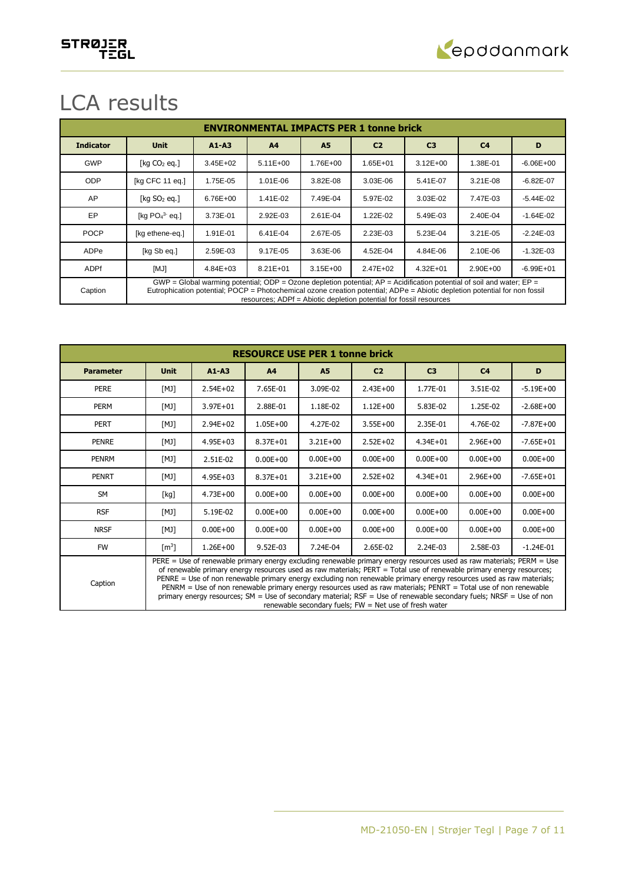

# LCA results

|                  | <b>ENVIRONMENTAL IMPACTS PER 1 tonne brick</b>                                                                                                                                                                                                                                                                                |              |                |              |                |                |                |               |
|------------------|-------------------------------------------------------------------------------------------------------------------------------------------------------------------------------------------------------------------------------------------------------------------------------------------------------------------------------|--------------|----------------|--------------|----------------|----------------|----------------|---------------|
| <b>Indicator</b> | <b>Unit</b>                                                                                                                                                                                                                                                                                                                   | $A1 - A3$    | A <sub>4</sub> | <b>A5</b>    | C <sub>2</sub> | C <sub>3</sub> | C <sub>4</sub> | D             |
| <b>GWP</b>       | [kg $CO2$ eg.]                                                                                                                                                                                                                                                                                                                | $3.45E + 02$ | $5.11E + 00$   | 1.76E+00     | 1.65E+01       | $3.12E + 00$   | 1.38E-01       | $-6.06E + 00$ |
| <b>ODP</b>       | [kg CFC 11 eg.]                                                                                                                                                                                                                                                                                                               | 1.75E-05     | 1.01E-06       | 3.82E-08     | 3.03E-06       | 5.41E-07       | $3.21E-08$     | $-6.82E - 07$ |
| AP               | [kg $SO2$ eq.]                                                                                                                                                                                                                                                                                                                | 6.76E+00     | 1.41E-02       | 7.49E-04     | 5.97E-02       | 3.03E-02       | 7.47E-03       | $-5.44E - 02$ |
| EP               | [kg $PO43$ eq.]                                                                                                                                                                                                                                                                                                               | 3.73E-01     | 2.92E-03       | 2.61E-04     | 1.22E-02       | 5.49E-03       | 2.40E-04       | $-1.64E - 02$ |
| <b>POCP</b>      | [kg ethene-eg.]                                                                                                                                                                                                                                                                                                               | 1.91E-01     | 6.41E-04       | 2.67E-05     | 2.23E-03       | 5.23E-04       | 3.21E-05       | $-2.24E - 03$ |
| ADPe             | [kg Sb eq.]                                                                                                                                                                                                                                                                                                                   | 2.59E-03     | 9.17E-05       | 3.63E-06     | 4.52E-04       | 4.84E-06       | 2.10E-06       | $-1.32E - 03$ |
| <b>ADPf</b>      | [MJ]                                                                                                                                                                                                                                                                                                                          | $4.84E + 03$ | $8.21E + 01$   | $3.15E + 00$ | $2.47E + 02$   | $4.32E + 01$   | $2.90E + 00$   | $-6.99E + 01$ |
| Caption          | GWP = Global warming potential; ODP = Ozone depletion potential; $AP =$ Acidification potential of soil and water; $EP =$<br>Eutrophication potential; POCP = Photochemical ozone creation potential; ADPe = Abiotic depletion potential for non fossil<br>resources; ADPf = Abiotic depletion potential for fossil resources |              |                |              |                |                |                |               |

| <b>RESOURCE USE PER 1 tonne brick</b> |                                                                                                                                                                                                                                                                                                                                                                                                                                                                                                                                                                                                                                                                            |              |              |              |                |                |                |               |
|---------------------------------------|----------------------------------------------------------------------------------------------------------------------------------------------------------------------------------------------------------------------------------------------------------------------------------------------------------------------------------------------------------------------------------------------------------------------------------------------------------------------------------------------------------------------------------------------------------------------------------------------------------------------------------------------------------------------------|--------------|--------------|--------------|----------------|----------------|----------------|---------------|
| <b>Parameter</b>                      | <b>Unit</b>                                                                                                                                                                                                                                                                                                                                                                                                                                                                                                                                                                                                                                                                | $A1 - A3$    | A4           | <b>A5</b>    | C <sub>2</sub> | C <sub>3</sub> | C <sub>4</sub> | D             |
| <b>PERE</b>                           | [MJ]                                                                                                                                                                                                                                                                                                                                                                                                                                                                                                                                                                                                                                                                       | $2.54E + 02$ | 7.65E-01     | 3.09E-02     | $2.43E + 00$   | 1.77E-01       | 3.51E-02       | $-5.19E + 00$ |
| <b>PERM</b>                           | [MJ]                                                                                                                                                                                                                                                                                                                                                                                                                                                                                                                                                                                                                                                                       | 3.97E+01     | 2.88E-01     | 1.18E-02     | $1.12E + 00$   | 5.83E-02       | 1.25E-02       | $-2.68E + 00$ |
| <b>PERT</b>                           | [MJ]                                                                                                                                                                                                                                                                                                                                                                                                                                                                                                                                                                                                                                                                       | $2.94E + 02$ | $1.05E + 00$ | 4.27E-02     | $3.55E + 00$   | 2.35E-01       | 4.76E-02       | $-7.87E+00$   |
| <b>PENRE</b>                          | [MJ]                                                                                                                                                                                                                                                                                                                                                                                                                                                                                                                                                                                                                                                                       | $4.95E + 03$ | $8.37E + 01$ | $3.21E + 00$ | $2.52E+02$     | $4.34E + 01$   | $2.96E + 00$   | $-7.65E + 01$ |
| <b>PENRM</b>                          | [MJ]                                                                                                                                                                                                                                                                                                                                                                                                                                                                                                                                                                                                                                                                       | 2.51E-02     | $0.00E + 00$ | $0.00E + 00$ | $0.00E + 00$   | $0.00E + 00$   | $0.00E + 00$   | $0.00E + 00$  |
| <b>PENRT</b>                          | [MJ]                                                                                                                                                                                                                                                                                                                                                                                                                                                                                                                                                                                                                                                                       | $4.95E + 03$ | $8.37E + 01$ | $3.21E + 00$ | $2.52E+02$     | $4.34E + 01$   | $2.96E + 00$   | $-7.65E + 01$ |
| <b>SM</b>                             | [kg]                                                                                                                                                                                                                                                                                                                                                                                                                                                                                                                                                                                                                                                                       | $4.73E + 00$ | $0.00E + 00$ | $0.00E + 00$ | $0.00E + 00$   | $0.00E + 00$   | $0.00E + 00$   | $0.00E + 00$  |
| <b>RSF</b>                            | [MJ]                                                                                                                                                                                                                                                                                                                                                                                                                                                                                                                                                                                                                                                                       | 5.19E-02     | $0.00E + 00$ | $0.00E + 00$ | $0.00E + 00$   | $0.00E + 00$   | $0.00E + 00$   | $0.00E + 00$  |
| <b>NRSF</b>                           | [MJ]                                                                                                                                                                                                                                                                                                                                                                                                                                                                                                                                                                                                                                                                       | $0.00E + 00$ | $0.00E + 00$ | $0.00E + 00$ | $0.00E + 00$   | $0.00E + 00$   | $0.00E + 00$   | $0.00E + 00$  |
| <b>FW</b>                             | $\lceil m^3 \rceil$                                                                                                                                                                                                                                                                                                                                                                                                                                                                                                                                                                                                                                                        | $1.26E + 00$ | 9.52E-03     | 7.24E-04     | 2.65E-02       | 2.24E-03       | 2.58E-03       | $-1.24E-01$   |
| Caption                               | PERE = Use of renewable primary energy excluding renewable primary energy resources used as raw materials; PERM = Use<br>of renewable primary energy resources used as raw materials; PERT = Total use of renewable primary energy resources;<br>PENRE = Use of non renewable primary energy excluding non renewable primary energy resources used as raw materials;<br>PENRM = Use of non renewable primary energy resources used as raw materials; PENRT = Total use of non renewable<br>primary energy resources; SM = Use of secondary material; RSF = Use of renewable secondary fuels; NRSF = Use of non<br>renewable secondary fuels; $FW = Net$ use of fresh water |              |              |              |                |                |                |               |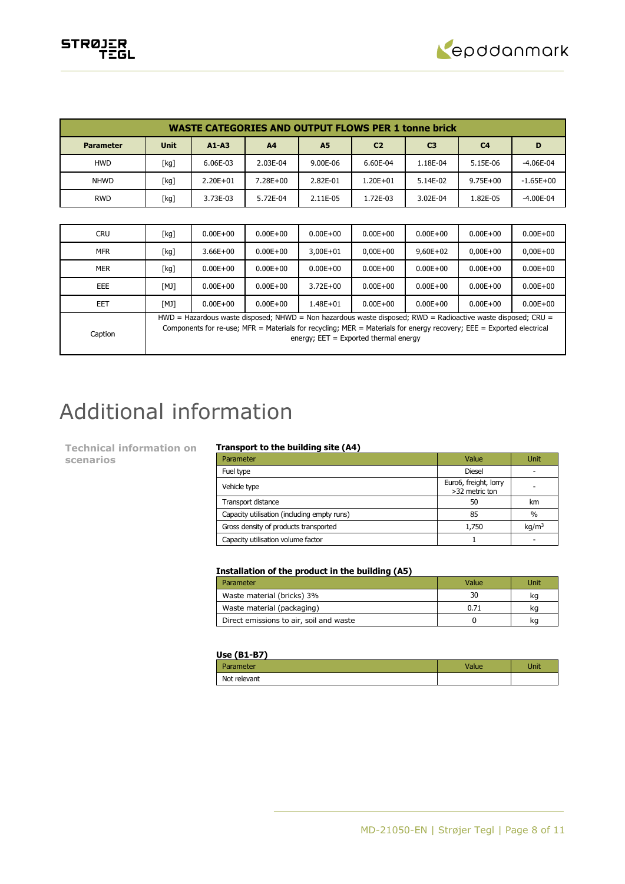

|                  | <b>WASTE CATEGORIES AND OUTPUT FLOWS PER 1 tonne brick</b>                                                                                                                                                                                                                      |              |                |              |                |                |                |               |
|------------------|---------------------------------------------------------------------------------------------------------------------------------------------------------------------------------------------------------------------------------------------------------------------------------|--------------|----------------|--------------|----------------|----------------|----------------|---------------|
| <b>Parameter</b> | <b>Unit</b>                                                                                                                                                                                                                                                                     | $A1 - A3$    | A <sub>4</sub> | <b>A5</b>    | C <sub>2</sub> | C <sub>3</sub> | C <sub>4</sub> | D             |
| <b>HWD</b>       | [kg]                                                                                                                                                                                                                                                                            | 6.06E-03     | 2.03E-04       | 9.00E-06     | 6.60E-04       | 1.18E-04       | 5.15E-06       | $-4.06E-04$   |
| <b>NHWD</b>      | [kg]                                                                                                                                                                                                                                                                            | $2.20E + 01$ | 7.28E+00       | 2.82E-01     | $1.20E + 01$   | 5.14E-02       | $9.75E + 00$   | $-1.65E + 00$ |
| <b>RWD</b>       | [kg]                                                                                                                                                                                                                                                                            | 3.73E-03     | 5.72E-04       | 2.11E-05     | 1.72E-03       | 3.02E-04       | 1.82E-05       | -4.00E-04     |
|                  |                                                                                                                                                                                                                                                                                 |              |                |              |                |                |                |               |
| <b>CRU</b>       | [kg]                                                                                                                                                                                                                                                                            | $0.00E + 00$ | $0.00E + 00$   | $0.00E + 00$ | $0.00E + 00$   | $0.00E + 00$   | $0.00E + 00$   | $0.00E + 00$  |
| <b>MFR</b>       | [kg]                                                                                                                                                                                                                                                                            | $3.66E + 00$ | $0.00E + 00$   | $3,00E + 01$ | $0,00E+00$     | $9,60E+02$     | $0.00E + 00$   | $0,00E+00$    |
| <b>MER</b>       | [kg]                                                                                                                                                                                                                                                                            | $0.00E + 00$ | $0.00E + 00$   | $0.00E + 00$ | $0.00E + 00$   | $0.00E + 00$   | $0.00E + 00$   | $0.00E + 00$  |
| <b>EEE</b>       | [MJ]                                                                                                                                                                                                                                                                            | $0.00E + 00$ | $0.00E + 00$   | $3.72E + 00$ | $0.00E + 00$   | $0.00E + 00$   | $0.00E + 00$   | $0.00E + 00$  |
| <b>EET</b>       | [MJ]                                                                                                                                                                                                                                                                            | $0.00E + 00$ | $0.00E + 00$   | $1.48E + 01$ | $0.00E + 00$   | $0.00E + 00$   | $0.00E + 00$   | $0.00E + 00$  |
| Caption          | HWD = Hazardous waste disposed; NHWD = Non hazardous waste disposed; RWD = Radioactive waste disposed; CRU =<br>Components for re-use; MFR = Materials for recycling; MER = Materials for energy recovery; EEE = Exported electrical<br>energy; $EET = Exported thermal energy$ |              |                |              |                |                |                |               |

# Additional information

**Technical information on scenarios**

## **Transport to the building site (A4)**

| $\frac{1}{2}$ is a spot to the building site ( $\pi$ ) |                                         |                   |
|--------------------------------------------------------|-----------------------------------------|-------------------|
| Parameter                                              | Value                                   | Unit              |
| Fuel type                                              | Diesel                                  |                   |
| Vehicle type                                           | Euro6, freight, lorry<br>>32 metric ton |                   |
| Transport distance                                     | 50                                      | km                |
| Capacity utilisation (including empty runs)            | 85                                      | $\frac{0}{0}$     |
| Gross density of products transported                  | 1,750                                   | kq/m <sup>3</sup> |
| Capacity utilisation volume factor                     |                                         |                   |

### **Installation of the product in the building (A5)**

| Parameter                               | Value | Unit |
|-----------------------------------------|-------|------|
| Waste material (bricks) 3%              | 30    |      |
| Waste material (packaging)              | 0.71  |      |
| Direct emissions to air, soil and waste |       |      |

## **Use (B1-B7)**

| Parameter    | <b>Value</b> | Unit |
|--------------|--------------|------|
| Not relevant |              |      |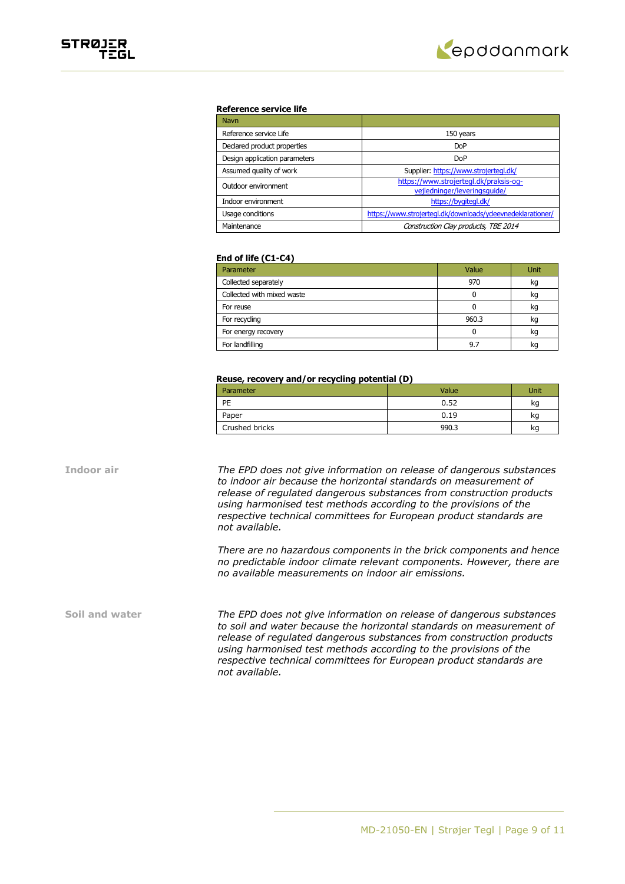

### **Reference service life**

| <b>Navn</b>                   |                                                                        |
|-------------------------------|------------------------------------------------------------------------|
| Reference service Life        | 150 years                                                              |
| Declared product properties   | <b>DoP</b>                                                             |
| Design application parameters | <b>DoP</b>                                                             |
| Assumed quality of work       | Supplier: https://www.strojertegl.dk/                                  |
| Outdoor environment           | https://www.strojertegl.dk/praksis-og-<br>vejledninger/leveringsquide/ |
| Indoor environment            | https://bygitegl.dk/                                                   |
| Usage conditions              | https://www.strojertegl.dk/downloads/ydeevnedeklarationer/             |
| Maintenance                   | Construction Clay products, TBE 2014                                   |

### **End of life (C1-C4)**

| Parameter                  | Value | Unit |
|----------------------------|-------|------|
| Collected separately       | 970   | kg   |
| Collected with mixed waste |       | kg   |
| For reuse                  | U     | kg   |
| For recycling              | 960.3 | kg   |
| For energy recovery        |       | kg   |
| For landfilling            | 9.7   | kq   |

#### **Reuse, recovery and/or recycling potential (D)**

| Parameter      | Value | Unit |
|----------------|-------|------|
| PE             | 0.52  | ĸq   |
| Paper          | 0.19  | kg   |
| Crushed bricks | 990.3 | κq   |

**Indoor air** *The EPD does not give information on release of dangerous substances to indoor air because the horizontal standards on measurement of release of regulated dangerous substances from construction products using harmonised test methods according to the provisions of the respective technical committees for European product standards are not available.*

> *There are no hazardous components in the brick components and hence no predictable indoor climate relevant components. However, there are no available measurements on indoor air emissions.*

**Soil and water** *The EPD does not give information on release of dangerous substances to soil and water because the horizontal standards on measurement of release of regulated dangerous substances from construction products using harmonised test methods according to the provisions of the respective technical committees for European product standards are not available.*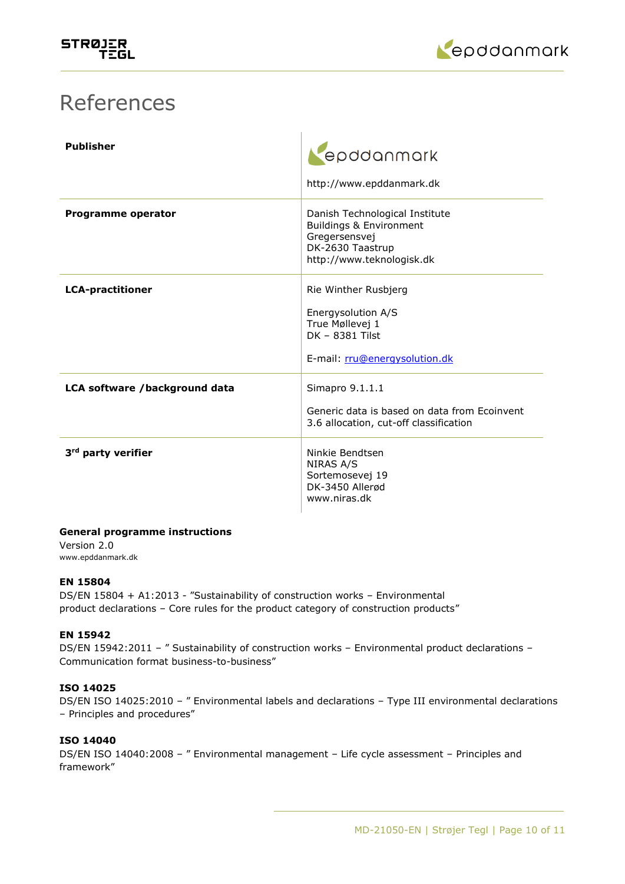

# References

| <b>Publisher</b>               | epddanmark<br>http://www.epddanmark.dk                                                                                      |
|--------------------------------|-----------------------------------------------------------------------------------------------------------------------------|
| <b>Programme operator</b>      | Danish Technological Institute<br>Buildings & Environment<br>Gregersensvej<br>DK-2630 Taastrup<br>http://www.teknologisk.dk |
| <b>LCA-practitioner</b>        | Rie Winther Rusbjerg<br>Energysolution A/S<br>True Møllevej 1<br>DK - 8381 Tilst<br>E-mail: rru@energysolution.dk           |
| LCA software /background data  | Simapro 9.1.1.1<br>Generic data is based on data from Ecoinvent<br>3.6 allocation, cut-off classification                   |
| 3 <sup>rd</sup> party verifier | Ninkie Bendtsen<br>NIRAS A/S<br>Sortemosevej 19<br>DK-3450 Allerød<br>www.niras.dk                                          |

# **General programme instructions**

Version 2.0 www.epddanmark.dk

# **EN 15804**

DS/EN 15804 + A1:2013 - "Sustainability of construction works – Environmental product declarations – Core rules for the product category of construction products"

# **EN 15942**

DS/EN 15942:2011 - " Sustainability of construction works - Environmental product declarations -Communication format business-to-business"

## **ISO 14025**

DS/EN ISO 14025:2010 – " Environmental labels and declarations – Type III environmental declarations – Principles and procedures"

# **ISO 14040**

DS/EN ISO 14040:2008 – " Environmental management – Life cycle assessment – Principles and framework"